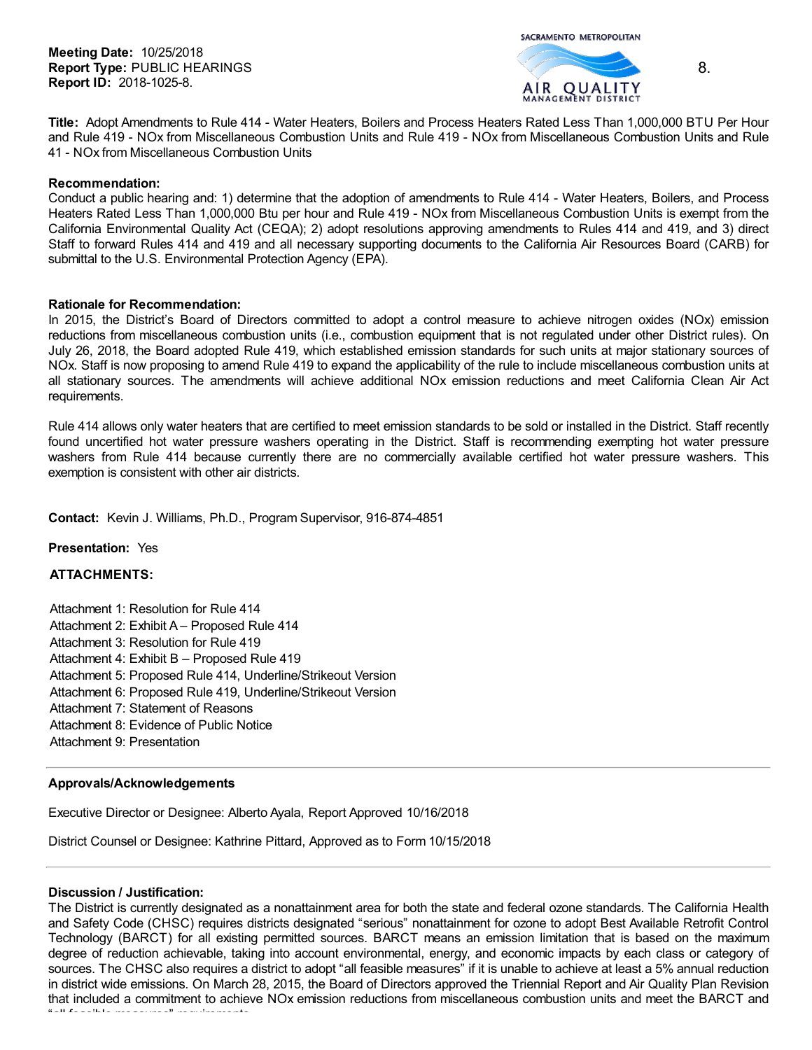**Meeting Date:** 10/25/2018 **Report Type:** PUBLIC HEARINGS **Report ID:** 2018-1025-8.



8.

**Title:** Adopt Amendments to Rule 414 - Water Heaters, Boilers and Process Heaters Rated Less Than 1,000,000 BTU Per Hour and Rule 419 - NOx from Miscellaneous Combustion Units and Rule 419 - NOx from Miscellaneous Combustion Units and Rule 41 - NOx from Miscellaneous Combustion Units

## **Recommendation:**

Conduct a public hearing and: 1) determine that the adoption of amendments to Rule 414 - Water Heaters, Boilers, and Process Heaters Rated Less Than 1,000,000 Btu per hour and Rule 419 - NOx from Miscellaneous Combustion Units is exempt from the California Environmental Quality Act (CEQA); 2) adopt resolutions approving amendments to Rules 414 and 419, and 3) direct Staff to forward Rules 414 and 419 and all necessary supporting documents to the California Air Resources Board (CARB) for submittal to the U.S. Environmental Protection Agency (EPA).

## **Rationale for Recommendation:**

In 2015, the District's Board of Directors committed to adopt a control measure to achieve nitrogen oxides (NOx) emission reductions from miscellaneous combustion units (i.e., combustion equipment that is not regulated under other District rules). On July 26, 2018, the Board adopted Rule 419, which established emission standards for such units at major stationary sources of NOx. Staff is now proposing to amend Rule 419 to expand the applicability of the rule to include miscellaneous combustion units at all stationary sources. The amendments will achieve additional NOx emission reductions and meet California Clean Air Act requirements.

Rule 414 allows only water heaters that are certified to meet emission standards to be sold or installed in the District. Staff recently found uncertified hot water pressure washers operating in the District. Staff is recommending exempting hot water pressure washers from Rule 414 because currently there are no commercially available certified hot water pressure washers. This exemption is consistent with other air districts.

**Contact:** Kevin J. Williams, Ph.D., Program Supervisor, 916-874-4851

## **Presentation:** Yes

# **ATTACHMENTS:**

[Attachment](file:///C:/Windows/TEMP/AttachmentViewer.ashx?AttachmentID=884&ItemID=726) 1: Resolution for Rule 414 [Attachment](file:///C:/Windows/TEMP/AttachmentViewer.ashx?AttachmentID=889&ItemID=726) 2: Exhibit A – Proposed Rule 414 [Attachment](file:///C:/Windows/TEMP/AttachmentViewer.ashx?AttachmentID=890&ItemID=726) 3: Resolution for Rule 419 [Attachment](file:///C:/Windows/TEMP/AttachmentViewer.ashx?AttachmentID=891&ItemID=726) 4: Exhibit B – Proposed Rule 419 Attachment 5: Proposed Rule 414, [Underline/Strikeout](file:///C:/Windows/TEMP/AttachmentViewer.ashx?AttachmentID=892&ItemID=726) Version Attachment 6: Proposed Rule 419, [Underline/Strikeout](file:///C:/Windows/TEMP/AttachmentViewer.ashx?AttachmentID=893&ItemID=726) Version [Attachment](file:///C:/Windows/TEMP/AttachmentViewer.ashx?AttachmentID=894&ItemID=726) 7: Statement of Reasons [Attachment](file:///C:/Windows/TEMP/AttachmentViewer.ashx?AttachmentID=895&ItemID=726) 8: Evidence of Public Notice Attachment 9: [Presentation](file:///C:/Windows/TEMP/AttachmentViewer.ashx?AttachmentID=905&ItemID=726)

# **Approvals/Acknowledgements**

Executive Director or Designee: Alberto Ayala, Report Approved 10/16/2018

District Counsel or Designee: Kathrine Pittard, Approved as to Form 10/15/2018

## **Discussion / Justification:**

The District is currently designated as a nonattainment area for both the state and federal ozone standards. The California Health and Safety Code (CHSC) requires districts designated "serious" nonattainment for ozone to adopt Best Available Retrofit Control Technology (BARCT) for all existing permitted sources. BARCT means an emission limitation that is based on the maximum degree of reduction achievable, taking into account environmental, energy, and economic impacts by each class or category of sources. The CHSC also requires a district to adopt "all feasible measures" if it is unable to achieve at least a 5% annual reduction in district wide emissions. On March 28, 2015, the Board of Directors approved the Triennial Report and Air Quality Plan Revision that included a commitment to achieve NOx emission reductions from miscellaneous combustion units and meet the BARCT and<br>"Historials accessive" acquirements  $\alpha$  all feasible measures is a requirement system of  $\alpha$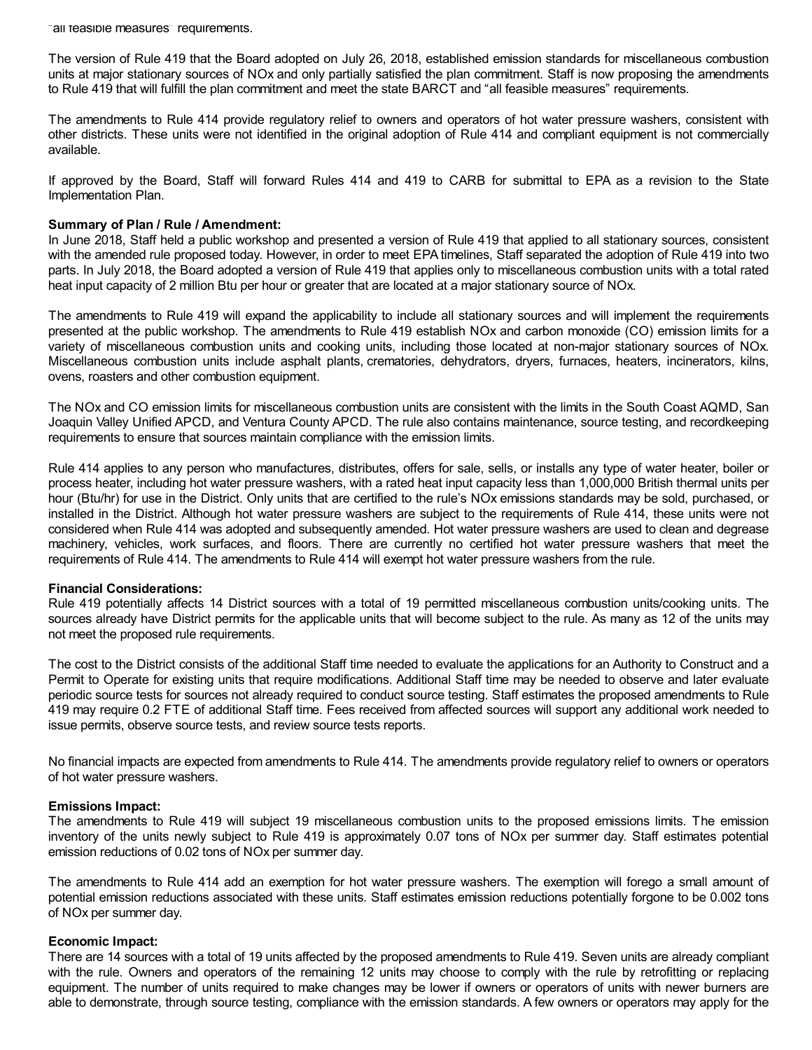"all reasible measures" requirements.

The version of Rule 419 that the Board adopted on July 26, 2018, established emission standards for miscellaneous combustion units at major stationary sources of NOx and only partially satisfied the plan commitment. Staff is now proposing the amendments to Rule 419 that will fulfill the plan commitment and meet the state BARCT and "all feasible measures" requirements.

The amendments to Rule 414 provide regulatory relief to owners and operators of hot water pressure washers, consistent with other districts. These units were not identified in the original adoption of Rule 414 and compliant equipment is not commercially available.

If approved by the Board, Staff will forward Rules 414 and 419 to CARB for submittal to EPA as a revision to the State Implementation Plan.

## **Summary of Plan / Rule / Amendment:**

In June 2018, Staff held a public workshop and presented a version of Rule 419 that applied to all stationary sources, consistent with the amended rule proposed today. However, in order to meet EPA timelines, Staff separated the adoption of Rule 419 into two parts. In July 2018, the Board adopted a version of Rule 419 that applies only to miscellaneous combustion units with a total rated heat input capacity of 2 million Btu per hour or greater that are located at a major stationary source of NOx.

The amendments to Rule 419 will expand the applicability to include all stationary sources and will implement the requirements presented at the public workshop. The amendments to Rule 419 establish NOx and carbon monoxide (CO) emission limits for a variety of miscellaneous combustion units and cooking units, including those located at non-major stationary sources of NOx. Miscellaneous combustion units include asphalt plants, crematories, dehydrators, dryers, furnaces, heaters, incinerators, kilns, ovens, roasters and other combustion equipment.

The NOx and CO emission limits for miscellaneous combustion units are consistent with the limits in the South Coast AQMD, San Joaquin Valley Unified APCD, and Ventura County APCD. The rule also contains maintenance, source testing, and recordkeeping requirements to ensure that sources maintain compliance with the emission limits.

Rule 414 applies to any person who manufactures, distributes, offers for sale, sells, or installs any type of water heater, boiler or process heater, including hot water pressure washers, with a rated heat input capacity less than 1,000,000 British thermal units per hour (Btu/hr) for use in the District. Only units that are certified to the rule's NOx emissions standards may be sold, purchased, or installed in the District. Although hot water pressure washers are subject to the requirements of Rule 414, these units were not considered when Rule 414 was adopted and subsequently amended. Hot water pressure washers are used to clean and degrease machinery, vehicles, work surfaces, and floors. There are currently no certified hot water pressure washers that meet the requirements of Rule 414. The amendments to Rule 414 will exempt hot water pressure washers from the rule.

## **Financial Considerations:**

Rule 419 potentially affects 14 District sources with a total of 19 permitted miscellaneous combustion units/cooking units. The sources already have District permits for the applicable units that will become subject to the rule. As many as 12 of the units may not meet the proposed rule requirements.

The cost to the District consists of the additional Staff time needed to evaluate the applications for an Authority to Construct and a Permit to Operate for existing units that require modifications. Additional Staff time may be needed to observe and later evaluate periodic source tests for sources not already required to conduct source testing. Staff estimates the proposed amendments to Rule 419 may require 0.2 FTE of additional Staff time. Fees received from affected sources will support any additional work needed to issue permits, observe source tests, and review source tests reports.

No financial impacts are expected from amendments to Rule 414. The amendments provide regulatory relief to owners or operators of hot water pressure washers.

## **Emissions Impact:**

The amendments to Rule 419 will subject 19 miscellaneous combustion units to the proposed emissions limits. The emission inventory of the units newly subject to Rule 419 is approximately 0.07 tons of NOx per summer day. Staff estimates potential emission reductions of 0.02 tons of NOx per summer day.

The amendments to Rule 414 add an exemption for hot water pressure washers. The exemption will forego a small amount of potential emission reductions associated with these units. Staff estimates emission reductions potentially forgone to be 0.002 tons of NOx per summer day.

## **Economic Impact:**

There are 14 sources with a total of 19 units affected by the proposed amendments to Rule 419. Seven units are already compliant with the rule. Owners and operators of the remaining 12 units may choose to comply with the rule by retrofitting or replacing equipment. The number of units required to make changes may be lower if owners or operators of units with newer burners are able to demonstrate, through source testing, compliance with the emission standards. A few owners or operators may apply for the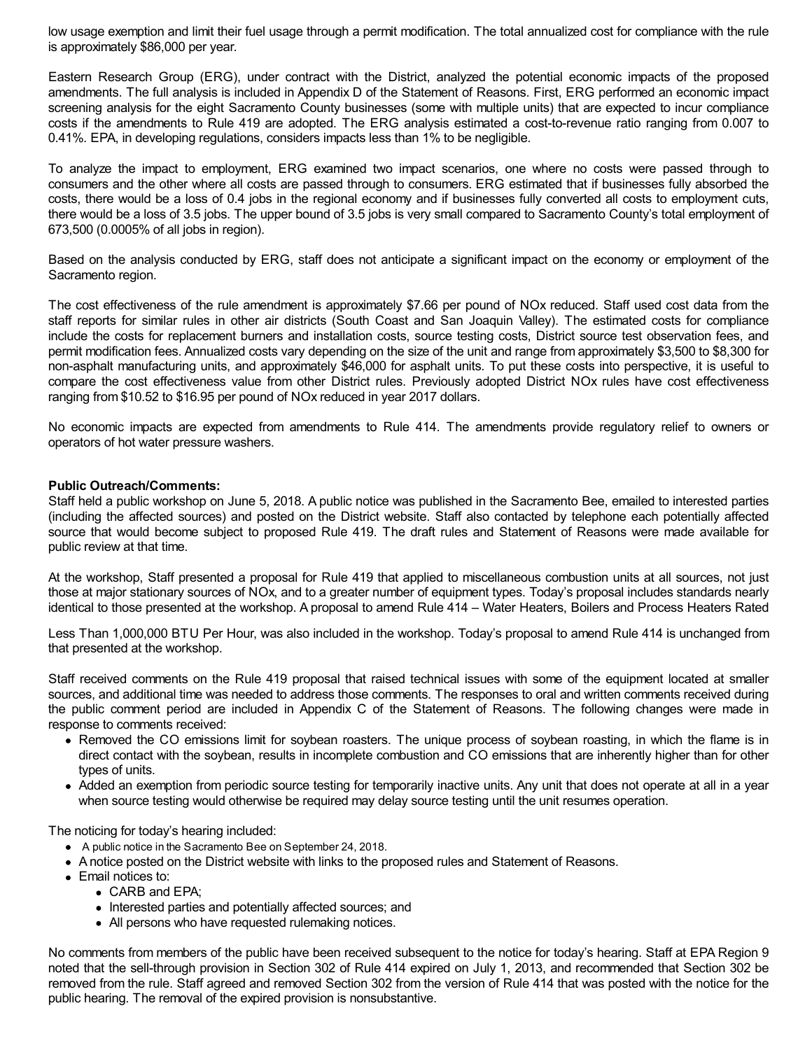low usage exemption and limit their fuel usage through a permit modification. The total annualized cost for compliance with the rule is approximately \$86,000 per year.

Eastern Research Group (ERG), under contract with the District, analyzed the potential economic impacts of the proposed amendments. The full analysis is included in Appendix D of the Statement of Reasons. First, ERG performed an economic impact screening analysis for the eight Sacramento County businesses (some with multiple units) that are expected to incur compliance costs if the amendments to Rule 419 are adopted. The ERG analysis estimated a cost-to-revenue ratio ranging from 0.007 to 0.41%. EPA, in developing regulations, considers impacts less than 1% to be negligible.

To analyze the impact to employment, ERG examined two impact scenarios, one where no costs were passed through to consumers and the other where all costs are passed through to consumers. ERG estimated that if businesses fully absorbed the costs, there would be a loss of 0.4 jobs in the regional economy and if businesses fully converted all costs to employment cuts, there would be a loss of 3.5 jobs. The upper bound of 3.5 jobs is very small compared to Sacramento County's total employment of 673,500 (0.0005% of all jobs in region).

Based on the analysis conducted by ERG, staff does not anticipate a significant impact on the economy or employment of the Sacramento region.

The cost effectiveness of the rule amendment is approximately \$7.66 per pound of NOx reduced. Staff used cost data from the staff reports for similar rules in other air districts (South Coast and San Joaquin Valley). The estimated costs for compliance include the costs for replacement burners and installation costs, source testing costs, District source test observation fees, and permit modification fees. Annualized costs vary depending on the size of the unit and range from approximately \$3,500 to \$8,300 for non-asphalt manufacturing units, and approximately \$46,000 for asphalt units. To put these costs into perspective, it is useful to compare the cost effectiveness value from other District rules. Previously adopted District NOx rules have cost effectiveness ranging from \$10.52 to \$16.95 per pound of NOx reduced in year 2017 dollars.

No economic impacts are expected from amendments to Rule 414. The amendments provide regulatory relief to owners or operators of hot water pressure washers.

## **Public Outreach/Comments:**

Staff held a public workshop on June 5, 2018. A public notice was published in the Sacramento Bee, emailed to interested parties (including the affected sources) and posted on the District website. Staff also contacted by telephone each potentially affected source that would become subject to proposed Rule 419. The draft rules and Statement of Reasons were made available for public review at that time.

At the workshop, Staff presented a proposal for Rule 419 that applied to miscellaneous combustion units at all sources, not just those at major stationary sources of NOx, and to a greater number of equipment types. Today's proposal includes standards nearly identical to those presented at the workshop. A proposal to amend Rule 414 – Water Heaters, Boilers and Process Heaters Rated

Less Than 1,000,000 BTU Per Hour, was also included in the workshop. Today's proposal to amend Rule 414 is unchanged from that presented at the workshop.

Staff received comments on the Rule 419 proposal that raised technical issues with some of the equipment located at smaller sources, and additional time was needed to address those comments. The responses to oral and written comments received during the public comment period are included in Appendix C of the Statement of Reasons. The following changes were made in response to comments received:

- Removed the CO emissions limit for soybean roasters. The unique process of soybean roasting, in which the flame is in direct contact with the soybean, results in incomplete combustion and CO emissions that are inherently higher than for other types of units.
- Added an exemption from periodic source testing for temporarily inactive units. Any unit that does not operate at all in a year when source testing would otherwise be required may delay source testing until the unit resumes operation.

The noticing for today's hearing included:

- A public notice in the Sacramento Bee on September 24, 2018.
- A notice posted on the District website with links to the proposed rules and Statement of Reasons.
- Email notices to:
	- CARB and EPA;
	- Interested parties and potentially affected sources; and
	- All persons who have requested rulemaking notices.

No comments from members of the public have been received subsequent to the notice for today's hearing. Staff at EPA Region 9 noted that the sell-through provision in Section 302 of Rule 414 expired on July 1, 2013, and recommended that Section 302 be removed from the rule. Staff agreed and removed Section 302 from the version of Rule 414 that was posted with the notice for the public hearing. The removal of the expired provision is nonsubstantive.